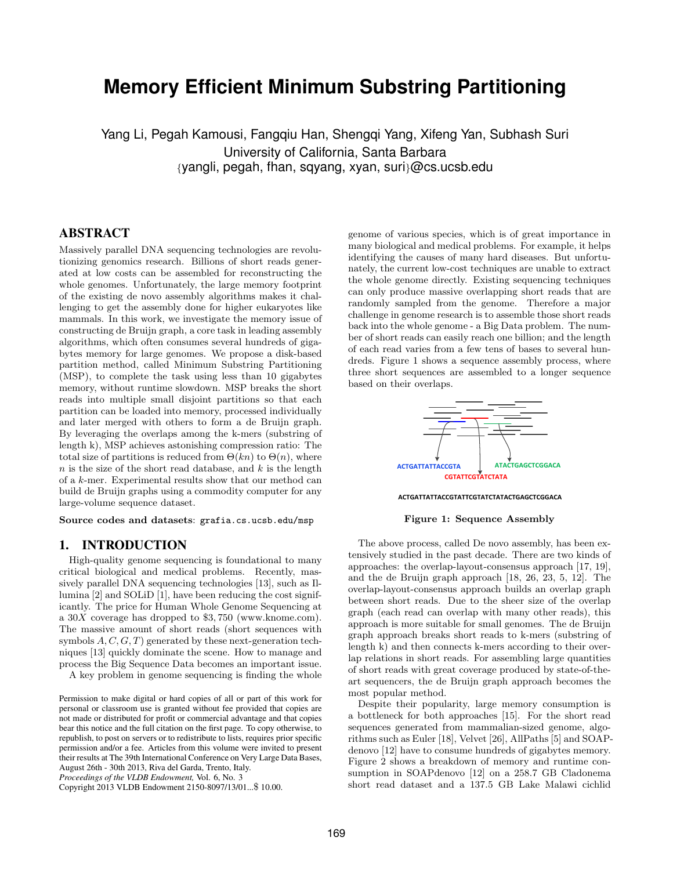# **Memory Efficient Minimum Substring Partitioning**

Yang Li, Pegah Kamousi, Fangqiu Han, Shengqi Yang, Xifeng Yan, Subhash Suri University of California, Santa Barbara *{*yangli, pegah, fhan, sqyang, xyan, suri*}*@cs.ucsb.edu

## ABSTRACT

Massively parallel DNA sequencing technologies are revolutionizing genomics research. Billions of short reads generated at low costs can be assembled for reconstructing the whole genomes. Unfortunately, the large memory footprint of the existing de novo assembly algorithms makes it challenging to get the assembly done for higher eukaryotes like mammals. In this work, we investigate the memory issue of constructing de Bruijn graph, a core task in leading assembly algorithms, which often consumes several hundreds of gigabytes memory for large genomes. We propose a disk-based partition method, called Minimum Substring Partitioning (MSP), to complete the task using less than 10 gigabytes memory, without runtime slowdown. MSP breaks the short reads into multiple small disjoint partitions so that each partition can be loaded into memory, processed individually and later merged with others to form a de Bruijn graph. By leveraging the overlaps among the k-mers (substring of length k), MSP achieves astonishing compression ratio: The total size of partitions is reduced from  $\Theta(kn)$  to  $\Theta(n)$ , where *n* is the size of the short read database, and *k* is the length of a *k*-mer. Experimental results show that our method can build de Bruijn graphs using a commodity computer for any large-volume sequence dataset.

**Source codes and datasets**: grafia.cs.ucsb.edu/msp

#### 1. INTRODUCTION

High-quality genome sequencing is foundational to many critical biological and medical problems. Recently, massively parallel DNA sequencing technologies [13], such as Illumina [2] and SOLiD [1], have been reducing the cost significantly. The price for Human Whole Genome Sequencing at a 30*X* coverage has dropped to \$3*,* 750 (www.knome.com). The massive amount of short reads (short sequences with symbols *A, C, G, T*) generated by these next-generation techniques [13] quickly dominate the scene. How to manage and process the Big Sequence Data becomes an important issue.

A key problem in genome sequencing is finding the whole

*Proceedings of the VLDB Endowment,* Vol. 6, No. 3

Copyright 2013 VLDB Endowment 2150-8097/13/01...\$ 10.00.

genome of various species, which is of great importance in many biological and medical problems. For example, it helps identifying the causes of many hard diseases. But unfortunately, the current low-cost techniques are unable to extract the whole genome directly. Existing sequencing techniques can only produce massive overlapping short reads that are randomly sampled from the genome. Therefore a major challenge in genome research is to assemble those short reads back into the whole genome - a Big Data problem. The number of short reads can easily reach one billion; and the length of each read varies from a few tens of bases to several hundreds. Figure 1 shows a sequence assembly process, where three short sequences are assembled to a longer sequence based on their overlaps.



#### **ACTGATTATTACCGTATTCGTATCTATACTGAGCTCGGACA**

#### **Figure 1: Sequence Assembly**

The above process, called De novo assembly, has been extensively studied in the past decade. There are two kinds of approaches: the overlap-layout-consensus approach [17, 19], and the de Bruijn graph approach [18, 26, 23, 5, 12]. The overlap-layout-consensus approach builds an overlap graph between short reads. Due to the sheer size of the overlap graph (each read can overlap with many other reads), this approach is more suitable for small genomes. The de Bruijn graph approach breaks short reads to k-mers (substring of length k) and then connects k-mers according to their overlap relations in short reads. For assembling large quantities of short reads with great coverage produced by state-of-theart sequencers, the de Bruijn graph approach becomes the most popular method.

Despite their popularity, large memory consumption is a bottleneck for both approaches [15]. For the short read sequences generated from mammalian-sized genome, algorithms such as Euler [18], Velvet [26], AllPaths [5] and SOAPdenovo [12] have to consume hundreds of gigabytes memory. Figure 2 shows a breakdown of memory and runtime consumption in SOAPdenovo [12] on a 258.7 GB Cladonema short read dataset and a 137.5 GB Lake Malawi cichlid

Permission to make digital or hard copies of all or part of this work for personal or classroom use is granted without fee provided that copies are not made or distributed for profit or commercial advantage and that copies bear this notice and the full citation on the first page. To copy otherwise, to republish, to post on servers or to redistribute to lists, requires prior specific permission and/or a fee. Articles from this volume were invited to present their results at The 39th International Conference on Very Large Data Bases, August 26th - 30th 2013, Riva del Garda, Trento, Italy.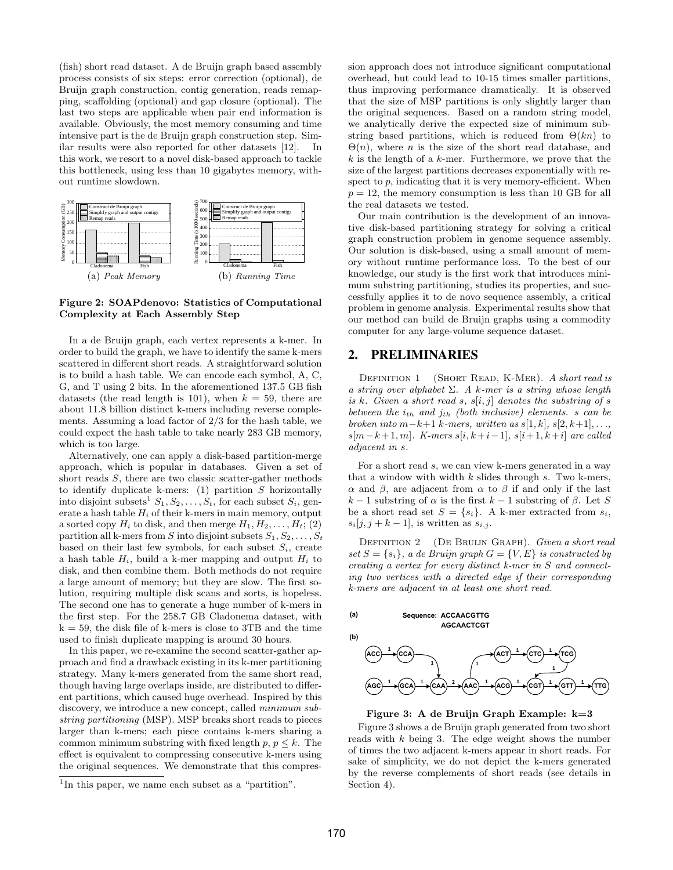(fish) short read dataset. A de Bruijn graph based assembly process consists of six steps: error correction (optional), de Bruijn graph construction, contig generation, reads remapping, scaffolding (optional) and gap closure (optional). The last two steps are applicable when pair end information is available. Obviously, the most memory consuming and time intensive part is the de Bruijn graph construction step. Similar results were also reported for other datasets [12]. In this work, we resort to a novel disk-based approach to tackle this bottleneck, using less than 10 gigabytes memory, without runtime slowdown.



**Figure 2: SOAPdenovo: Statistics of Computational Complexity at Each Assembly Step**

In a de Bruijn graph, each vertex represents a k-mer. In order to build the graph, we have to identify the same k-mers scattered in different short reads. A straightforward solution is to build a hash table. We can encode each symbol, A, C, G, and T using 2 bits. In the aforementioned 137.5 GB fish datasets (the read length is 101), when  $k = 59$ , there are about 11.8 billion distinct k-mers including reverse complements. Assuming a load factor of 2*/*3 for the hash table, we could expect the hash table to take nearly 283 GB memory, which is too large.

Alternatively, one can apply a disk-based partition-merge approach, which is popular in databases. Given a set of short reads *S*, there are two classic scatter-gather methods to identify duplicate k-mers: (1) partition *S* horizontally into disjoint subsets<sup>1</sup>  $S_1, S_2, \ldots, S_t$ , for each subset  $S_i$ , generate a hash table  $H_i$  of their k-mers in main memory, output a sorted copy  $H_i$  to disk, and then merge  $H_1, H_2, \ldots, H_t$ ; (2) partition all k-mers from *S* into disjoint subsets  $S_1, S_2, \ldots, S_t$ based on their last few symbols, for each subset  $S_i$ , create a hash table  $H_i$ , build a k-mer mapping and output  $H_i$  to disk, and then combine them. Both methods do not require a large amount of memory; but they are slow. The first solution, requiring multiple disk scans and sorts, is hopeless. The second one has to generate a huge number of k-mers in the first step. For the 258.7 GB Cladonema dataset, with  $k = 59$ , the disk file of k-mers is close to 3TB and the time used to finish duplicate mapping is around 30 hours.

In this paper, we re-examine the second scatter-gather approach and find a drawback existing in its k-mer partitioning strategy. Many k-mers generated from the same short read, though having large overlaps inside, are distributed to different partitions, which caused huge overhead. Inspired by this discovery, we introduce a new concept, called *minimum substring partitioning* (MSP). MSP breaks short reads to pieces larger than k-mers; each piece contains k-mers sharing a common minimum substring with fixed length  $p, p \leq k$ . The effect is equivalent to compressing consecutive k-mers using the original sequences. We demonstrate that this compression approach does not introduce significant computational overhead, but could lead to 10-15 times smaller partitions, thus improving performance dramatically. It is observed that the size of MSP partitions is only slightly larger than the original sequences. Based on a random string model, we analytically derive the expected size of minimum substring based partitions, which is reduced from  $\Theta(kn)$  to  $\Theta(n)$ , where *n* is the size of the short read database, and *k* is the length of a *k*-mer. Furthermore, we prove that the size of the largest partitions decreases exponentially with respect to  $p$ , indicating that it is very memory-efficient. When  $p = 12$ , the memory consumption is less than 10 GB for all the real datasets we tested.

Our main contribution is the development of an innovative disk-based partitioning strategy for solving a critical graph construction problem in genome sequence assembly. Our solution is disk-based, using a small amount of memory without runtime performance loss. To the best of our knowledge, our study is the first work that introduces minimum substring partitioning, studies its properties, and successfully applies it to de novo sequence assembly, a critical problem in genome analysis. Experimental results show that our method can build de Bruijn graphs using a commodity computer for any large-volume sequence dataset.

#### 2. PRELIMINARIES

Definition 1 (Short Read, K-Mer). *A short read is a string over alphabet* Σ*. A k-mer is a string whose length is*  $k$ *. Given a short read*  $s$ *,*  $s[i, j]$  *denotes the substring of*  $s$ *between the ith and jth (both inclusive) elements. s can be broken into m−k*+1 *k-mers, written as s*[1*, k*]*, s*[2*, k*+1]*, . . ., s*[*m−k*+ 1*, m*]*. K-mers s*[*i, k*+*i−*1]*, s*[*i*+ 1*, k*+*i*] *are called adjacent in s.*

For a short read *s*, we can view k-mers generated in a way that a window with width *k* slides through *s*. Two k-mers, *α* and *β*, are adjacent from *α* to *β* if and only if the last  $k-1$  substring of  $\alpha$  is the first  $k-1$  substring of  $\beta$ . Let *S* be a short read set  $S = \{s_i\}$ . A k-mer extracted from  $s_i$ ,  $s_i[j, j + k - 1]$ , is written as  $s_{i,j}$ .

Definition 2 (De Bruijn Graph). *Given a short read*  $set S = \{s_i\}$ , a de Bruijn graph  $G = \{V, E\}$  is constructed by *creating a vertex for every distinct k-mer in S and connecting two vertices with a directed edge if their corresponding k-mers are adjacent in at least one short read.*

**(a) Sequence: ACCAACGTTG AGCAACTCGT**





#### **Figure 3: A de Bruijn Graph Example: k=3**

Figure 3 shows a de Bruijn graph generated from two short reads with *k* being 3. The edge weight shows the number of times the two adjacent k-mers appear in short reads. For sake of simplicity, we do not depict the k-mers generated by the reverse complements of short reads (see details in Section 4).

<sup>&</sup>lt;sup>1</sup>In this paper, we name each subset as a "partition".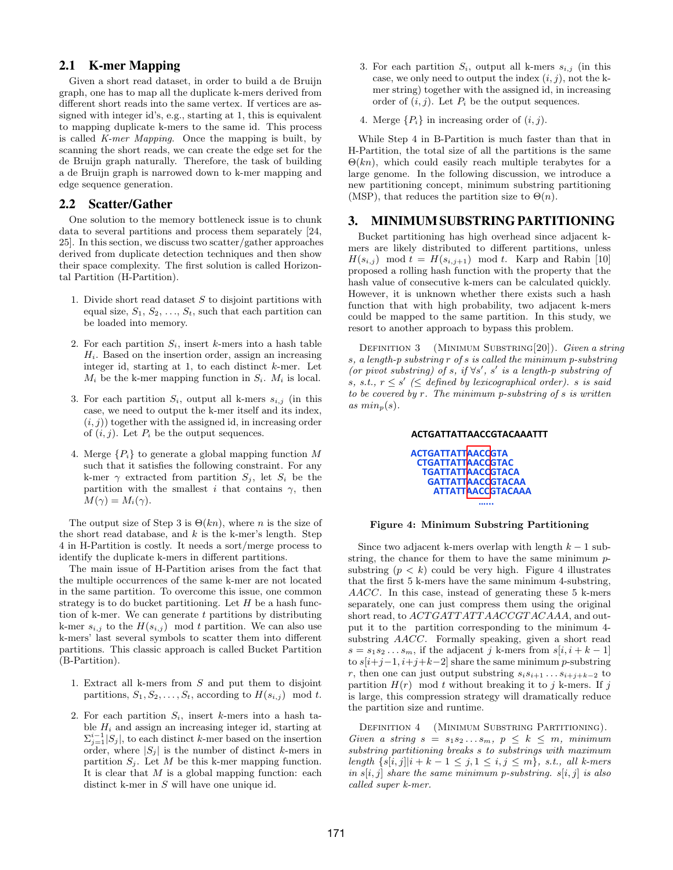## 2.1 K-mer Mapping

Given a short read dataset, in order to build a de Bruijn graph, one has to map all the duplicate k-mers derived from different short reads into the same vertex. If vertices are assigned with integer id's, e.g., starting at 1, this is equivalent to mapping duplicate k-mers to the same id. This process is called *K-mer Mapping*. Once the mapping is built, by scanning the short reads, we can create the edge set for the de Bruijn graph naturally. Therefore, the task of building a de Bruijn graph is narrowed down to k-mer mapping and edge sequence generation.

## 2.2 Scatter/Gather

One solution to the memory bottleneck issue is to chunk data to several partitions and process them separately [24, 25]. In this section, we discuss two scatter/gather approaches derived from duplicate detection techniques and then show their space complexity. The first solution is called Horizontal Partition (H-Partition).

- 1. Divide short read dataset *S* to disjoint partitions with equal size,  $S_1, S_2, \ldots, S_t$ , such that each partition can be loaded into memory.
- 2. For each partition  $S_i$ , insert *k*-mers into a hash table  $H_i$ . Based on the insertion order, assign an increasing integer id, starting at 1, to each distinct *k*-mer. Let  $M_i$  be the k-mer mapping function in  $S_i$ .  $M_i$  is local.
- 3. For each partition  $S_i$ , output all k-mers  $s_{i,j}$  (in this case, we need to output the k-mer itself and its index,  $(i, j)$ ) together with the assigned id, in increasing order of  $(i, j)$ . Let  $P_i$  be the output sequences.
- 4. Merge  ${P_i}$  to generate a global mapping function M such that it satisfies the following constraint. For any k-mer  $\gamma$  extracted from partition  $S_j$ , let  $S_i$  be the partition with the smallest *i* that contains  $\gamma$ , then  $M(\gamma) = M_i(\gamma)$ .

The output size of Step 3 is  $\Theta(kn)$ , where *n* is the size of the short read database, and *k* is the k-mer's length. Step 4 in H-Partition is costly. It needs a sort/merge process to identify the duplicate k-mers in different partitions.

The main issue of H-Partition arises from the fact that the multiple occurrences of the same k-mer are not located in the same partition. To overcome this issue, one common strategy is to do bucket partitioning. Let *H* be a hash function of k-mer. We can generate *t* partitions by distributing k-mer  $s_{i,j}$  to the  $H(s_{i,j})$  mod *t* partition. We can also use k-mers' last several symbols to scatter them into different partitions. This classic approach is called Bucket Partition (B-Partition).

- 1. Extract all k-mers from *S* and put them to disjoint partitions,  $S_1, S_2, \ldots, S_t$ , according to  $H(s_{i,j})$  mod *t*.
- 2. For each partition *Si*, insert *k*-mers into a hash table  $H_i$  and assign an increasing integer id, starting at  $\sum_{j=1}^{i-1} |S_j|$ , to each distinct *k*-mer based on the insertion order, where  $|S_i|$  is the number of distinct *k*-mers in partition  $S_j$ . Let  $M$  be this k-mer mapping function. It is clear that *M* is a global mapping function: each distinct k-mer in *S* will have one unique id.
- 3. For each partition  $S_i$ , output all k-mers  $s_{i,j}$  (in this case, we only need to output the index  $(i, j)$ , not the kmer string) together with the assigned id, in increasing order of  $(i, j)$ . Let  $P_i$  be the output sequences.
- 4. Merge  $\{P_i\}$  in increasing order of  $(i, j)$ .

While Step 4 in B-Partition is much faster than that in H-Partition, the total size of all the partitions is the same  $\Theta(kn)$ , which could easily reach multiple terabytes for a large genome. In the following discussion, we introduce a new partitioning concept, minimum substring partitioning (MSP), that reduces the partition size to  $\Theta(n)$ .

#### 3. MINIMUM SUBSTRING PARTITIONING

Bucket partitioning has high overhead since adjacent kmers are likely distributed to different partitions, unless  $H(s_{i,j})$  mod  $t = H(s_{i,j+1})$  mod *t*. Karp and Rabin [10] proposed a rolling hash function with the property that the hash value of consecutive k-mers can be calculated quickly. However, it is unknown whether there exists such a hash function that with high probability, two adjacent k-mers could be mapped to the same partition. In this study, we resort to another approach to bypass this problem.

Definition 3 (Minimum Substring[20]). *Given a string s, a length-p substring r of s is called the minimum p-substring (or pivot substring) of <i>s*, if  $\forall s'$ , *s' is a length-p substring of s*, *s.t.*,  $r \leq s' \leq d$  *efined by lexicographical order). s is said to be covered by r. The minimum p-substring of s is written*  $as min_p(s)$ .

#### ACTGATTATTAACCGTACAAATTT ACTGATTATT**AACCGTA** CTGATTATTAACCGTAC TGATTATTAACCGTACA GATTATTAACCGTACAA ATTATTAACCGTACAAA —<br>……

#### **Figure 4: Minimum Substring Partitioning**

Since two adjacent k-mers overlap with length *k −* 1 substring, the chance for them to have the same minimum *p*substring  $(p < k)$  could be very high. Figure 4 illustrates that the first 5 k-mers have the same minimum 4-substring, *AACC*. In this case, instead of generating these 5 k-mers separately, one can just compress them using the original short read, to  $ACT GATTAT TAA CCGTACAAA$ , and output it to the partition corresponding to the minimum 4 substring *AACC*. Formally speaking, given a short read  $s = s_1 s_2 \dots s_m$ , if the adjacent *j* k-mers from  $s[i, i + k - 1]$ to *s*[*i*+*j−*1*, i*+*j*+*k−*2] share the same minimum *p*-substring *r*, then one can just output substring  $s_i s_{i+1} \ldots s_{i+j+k-2}$  to partition  $H(r)$  mod *t* without breaking it to *j* k-mers. If *j* is large, this compression strategy will dramatically reduce the partition size and runtime.

DEFINITION 4 (MINIMUM SUBSTRING PARTITIONING). *Given a string*  $s = s_1 s_2 \dots s_m$ ,  $p \leq k \leq m$ , *minimum substring partitioning breaks s to substrings with maximum*  $length \{s[i, j]| i + k - 1 \leq j, 1 \leq i, j \leq m\}, \text{ s.t., all } k \text{-}mers$ *in s*[*i, j*] *share the same minimum p-substring. s*[*i, j*] *is also called super k-mer.*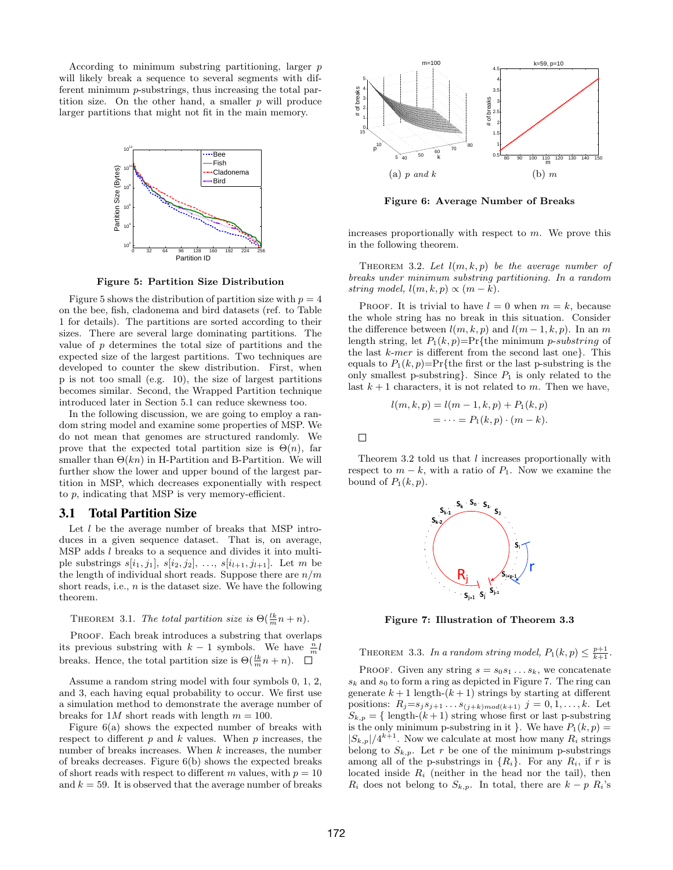According to minimum substring partitioning, larger *p* will likely break a sequence to several segments with different minimum *p*-substrings, thus increasing the total partition size. On the other hand, a smaller *p* will produce larger partitions that might not fit in the main memory.



**Figure 5: Partition Size Distribution**

Figure 5 shows the distribution of partition size with  $p = 4$ on the bee, fish, cladonema and bird datasets (ref. to Table 1 for details). The partitions are sorted according to their sizes. There are several large dominating partitions. The value of *p* determines the total size of partitions and the expected size of the largest partitions. Two techniques are developed to counter the skew distribution. First, when p is not too small (e.g. 10), the size of largest partitions becomes similar. Second, the Wrapped Partition technique introduced later in Section 5.1 can reduce skewness too. and **k** = 59. It is observed that the average number of breaks 40 for a state of  $\theta$  and  $\theta$  for a state of  $\theta$  for a state of  $\theta$  for a state of  $\theta$  for a state of  $\theta$  for a state of  $\theta$  for a state of  $\theta$  for a

In the following discussion, we are going to employ a random string model and examine some properties of MSP. We do not mean that genomes are structured randomly. We prove that the expected total partition size is  $\Theta(n)$ , far smaller than  $\Theta(kn)$  in H-Partition and B-Partition. We will further show the lower and upper bound of the largest partition in MSP, which decreases exponentially with respect to *p*, indicating that MSP is very memory-efficient.

#### 3.1 Total Partition Size

Let *l* be the average number of breaks that MSP introduces in a given sequence dataset. That is, on average, MSP adds *l* breaks to a sequence and divides it into multiple substrings  $s[i_1, j_1], s[i_2, j_2], \ldots, s[i_{l+1}, j_{l+1}].$  Let *m* be the length of individual short reads. Suppose there are *n/m* short reads, i.e., *n* is the dataset size. We have the following theorem.

THEOREM 3.1. *The total partition size is*  $\Theta(\frac{lk}{m}n + n)$ .

PROOF. Each break introduces a substring that overlaps its previous substring with  $k-1$  symbols. We have  $\frac{n}{m}l$ breaks. Hence, the total partition size is  $\Theta(\frac{lk}{m}n + n)$ .

Assume a random string model with four symbols 0, 1, 2, and 3, each having equal probability to occur. We first use a simulation method to demonstrate the average number of breaks for  $1M$  short reads with length  $m = 100$ .

Figure 6(a) shows the expected number of breaks with respect to different *p* and *k* values. When *p* increases, the number of breaks increases. When *k* increases, the number of breaks decreases. Figure 6(b) shows the expected breaks of short reads with respect to different *m* values, with  $p = 10$ 



**Figure 6: Average Number of Breaks**

increases proportionally with respect to *m*. We prove this in the following theorem.

THEOREM 3.2. Let  $l(m, k, p)$  be the average number of *breaks under minimum substring partitioning. In a random string model,*  $l(m, k, p) \propto (m - k)$ .

PROOF. It is trivial to have  $l = 0$  when  $m = k$ , because the whole string has no break in this situation. Consider the difference between  $l(m, k, p)$  and  $l(m-1, k, p)$ . In an *m* length string, let *P*1(*k, p*)=Pr*{*the minimum *p*-*substring* of the last *k*-*mer* is different from the second last one*}*. This equals to  $P_1(k, p) = Pr$ {the first or the last p-substring is the only smallest p-substring*}*. Since *P*<sup>1</sup> is only related to the last  $k + 1$  characters, it is not related to  $m$ . Then we have,

$$
l(m, k, p) = l(m - 1, k, p) + P_1(k, p)
$$
  
= ... = P<sub>1</sub>(k, p) · (m - k).

Theorem 3.2 told us that *l* increases proportionally with respect to  $m - k$ , with a ratio of  $P_1$ . Now we examine the bound of  $P_1(k, p)$ .



**Figure 7: Illustration of Theorem 3.3**

THEOREM 3.3. In a random string model,  $P_1(k, p) \leq \frac{p+1}{k+1}$ .

PROOF. Given any string  $s = s_0 s_1 \dots s_k$ , we concatenate  $s_k$  and  $s_0$  to form a ring as depicted in Figure 7. The ring can generate  $k+1$  length- $(k+1)$  strings by starting at different positions:  $R_j = s_j s_{j+1} \dots s_{(j+k) \text{mod}(k+1)} j = 0, 1, \dots, k$ . Let  $S_{k,p} = \{$  length- $(k+1)$  string whose first or last p-substring is the only minimum p-substring in it  $\}$ . We have  $P_1(k, p) =$  $|S_{k,p}|/4^{k+1}$ . Now we calculate at most how many  $R_i$  strings belong to  $S_{k,p}$ . Let r be one of the minimum p-substrings among all of the p-substrings in  ${R_i}$ . For any  $R_i$ , if *r* is located inside *R<sup>i</sup>* (neither in the head nor the tail), then *R*<sup>*i*</sup> does not belong to *S*<sub>*k,p*</sub>. In total, there are  $k - p R_i$ <sup>'s</sup>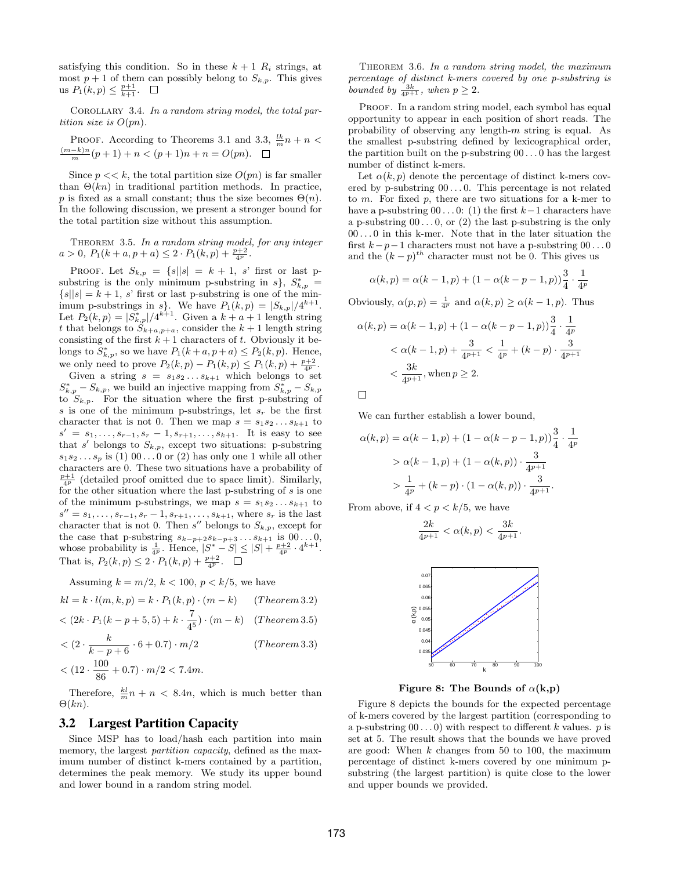satisfying this condition. So in these  $k+1$   $R_i$  strings, at most  $p + 1$  of them can possibly belong to  $S_{k,p}$ . This gives us  $P_1(k, p) \leq \frac{p+1}{k+1}$ .

Corollary 3.4. *In a random string model, the total partition size is*  $O(pn)$ .

PROOF. According to Theorems 3.1 and 3.3, 
$$
\frac{lk}{m}n + n < \frac{(m-k)n}{m}(p+1) + n < (p+1)n + n = O(pn)
$$
.  $\square$ 

Since  $p \ll k$ , the total partition size  $O(pn)$  is far smaller than  $\Theta(kn)$  in traditional partition methods. In practice, *p* is fixed as a small constant; thus the size becomes  $\Theta(n)$ . In the following discussion, we present a stronger bound for the total partition size without this assumption.

Theorem 3.5. *In a random string model, for any integer*  $a > 0$ ,  $P_1(k + a, p + a) \leq 2 \cdot P_1(k, p) + \frac{p+2}{4^p}$ .

PROOF. Let  $S_{k,p} = \{ s | |s| = k + 1, s' \text{ first or last } p \}$ substring is the only minimum p-substring in  $s$ ,  $S_{k,p}^*$  =  $\{s||s| = k + 1, s'$  first or last p-substring is one of the minimum p-substrings in *s*}. We have  $P_1(k,p) = |S_{k,p}|/4^{k+1}$ . Let  $P_2(k, p) = |S^*_{k, p}|/4^{k+1}$ . Given a  $k + a + 1$  length string *t* that belongs to  $\tilde{S}_{k+a,p+a}$ , consider the  $k+1$  length string consisting of the first  $k+1$  characters of *t*. Obviously it belongs to  $S_{k,p}^*$ , so we have  $P_1(k+a, p+a) \le P_2(k,p)$ . Hence, we only need to prove  $P_2(k, p) - P_1(k, p) \le P_1(k, p) + \frac{p+2}{4^p}$ .

Given a string  $s = s_1 s_2 \dots s_{k+1}$  which belongs to set  $S_{k,p}^* - S_{k,p}$ , we build an injective mapping from  $S_{k,p}^* - S_{k,p}$ to  $S_{k,p}$ . For the situation where the first p-substring of *s* is one of the minimum p-substrings, let *s<sup>r</sup>* be the first character that is not 0. Then we map  $s = s_1 s_2 \dots s_{k+1}$  to  $s' = s_1, \ldots, s_{r-1}, s_r - 1, s_{r+1}, \ldots, s_{k+1}$ . It is easy to see that  $s'$  belongs to  $S_{k,p}$ , except two situations: p-substring  $s_1 s_2 \ldots s_p$  is (1) 00...0 or (2) has only one 1 while all other characters are 0. These two situations have a probability of  $\frac{p+1}{4^p}$  (detailed proof omitted due to space limit). Similarly, for the other situation where the last p-substring of *s* is one of the minimum p-substrings, we map  $s = s_1 s_2 \dots s_{k+1}$  to  $s'' = s_1, \ldots, s_{r-1}, s_r - 1, s_{r+1}, \ldots, s_{k+1}$ , where  $s_r$  is the last character that is not 0. Then  $s''$  belongs to  $S_{k,p}$ , except for the case that p-substring  $s_{k-p+2} s_{k-p+3} \ldots s_{k+1}$  is 00 . . . 0, whose probability is  $\frac{1}{4^p}$ . Hence,  $|S^* - S| \leq |S| + \frac{p+2}{4^p} \cdot 4^{k+1}$ . That is,  $P_2(k, p) \leq 2 \cdot P_1(k, p) + \frac{p+2}{4^p}$ .

Assuming  $k = m/2$ ,  $k < 100$ ,  $p < k/5$ , we have

$$
kl = k \cdot l(m, k, p) = k \cdot P_1(k, p) \cdot (m - k) \qquad (Theorem 3.2)
$$

$$
\langle (2k \cdot P_1(k - p + 5, 5) + k \cdot \frac{1}{4^5}) \cdot (m - k) \quad (Theorem 3.5)
$$

$$
\langle (2 \cdot \frac{\kappa}{k-p+6} \cdot 6 + 0.7) \cdot m/2 \qquad (Theorem 3.3)
$$

$$
\langle (12 \cdot \frac{100}{86} + 0.7) \cdot m/2 \langle 7.4m.
$$

Therefore,  $\frac{kl}{m}n + n < 8.4n$ , which is much better than Θ(*kn*).

#### 3.2 Largest Partition Capacity

Since MSP has to load/hash each partition into main memory, the largest *partition capacity*, defined as the maximum number of distinct k-mers contained by a partition, determines the peak memory. We study its upper bound and lower bound in a random string model.

Theorem 3.6. *In a random string model, the maximum percentage of distinct k-mers covered by one p-substring is bounded by*  $\frac{3k}{4^{p+1}}$ *, when*  $p \geq 2$ *.* 

PROOF. In a random string model, each symbol has equal opportunity to appear in each position of short reads. The probability of observing any length-*m* string is equal. As the smallest p-substring defined by lexicographical order, the partition built on the p-substring 00 *. . .* 0 has the largest number of distinct k-mers.

Let  $\alpha(k, p)$  denote the percentage of distinct k-mers covered by p-substring  $00 \ldots 0$ . This percentage is not related to *m*. For fixed *p*, there are two situations for a k-mer to have a p-substring  $00 \dots 0$ : (1) the first  $k-1$  characters have a p-substring  $00...0$ , or  $(2)$  the last p-substring is the only 00 *. . .* 0 in this k-mer. Note that in the later situation the first *k−p−*1 characters must not have a p-substring 00 *. . .* 0 and the  $(k - p)^{th}$  character must not be 0. This gives us

$$
\alpha(k, p) = \alpha(k - 1, p) + (1 - \alpha(k - p - 1, p))\frac{3}{4} \cdot \frac{1}{4^p}
$$

Obviously,  $\alpha(p, p) = \frac{1}{4^p}$  and  $\alpha(k, p) \ge \alpha(k - 1, p)$ . Thus

$$
\alpha(k, p) = \alpha(k - 1, p) + (1 - \alpha(k - p - 1, p))\frac{3}{4} \cdot \frac{1}{4^p}
$$
  

$$
< \alpha(k - 1, p) + \frac{3}{4^{p+1}} < \frac{1}{4^p} + (k - p) \cdot \frac{3}{4^{p+1}}
$$
  

$$
< \frac{3k}{4^{p+1}}, \text{when } p \ge 2.
$$

 $\Box$ 

We can further establish a lower bound,

$$
\alpha(k, p) = \alpha(k - 1, p) + (1 - \alpha(k - p - 1, p))\frac{3}{4} \cdot \frac{1}{4^p}
$$
  
>  $\alpha(k - 1, p) + (1 - \alpha(k, p)) \cdot \frac{3}{4^{p+1}}$   
>  $\frac{1}{4^p} + (k - p) \cdot (1 - \alpha(k, p)) \cdot \frac{3}{4^{p+1}}$ .

From above, if  $4 < p < k/5$ , we have

$$
\frac{2k}{4^{p+1}} < \alpha(k,p) < \frac{3k}{4^{p+1}}.
$$



**Figure 8: The Bounds of**  $\alpha$ **(k,p)** 

Figure 8 depicts the bounds for the expected percentage of k-mers covered by the largest partition (corresponding to a p-substring  $00...0$  with respect to different *k* values. *p* is set at 5. The result shows that the bounds we have proved are good: When *k* changes from 50 to 100, the maximum percentage of distinct k-mers covered by one minimum psubstring (the largest partition) is quite close to the lower and upper bounds we provided.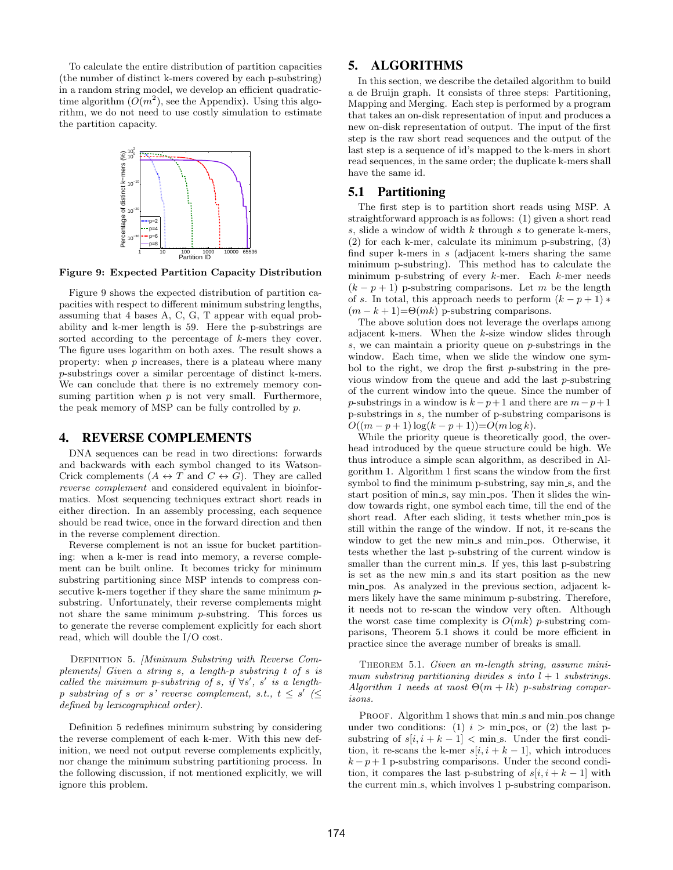To calculate the entire distribution of partition capacities (the number of distinct k-mers covered by each p-substring) in a random string model, we develop an efficient quadratictime algorithm  $(O(m^2))$ , see the Appendix). Using this algorithm, we do not need to use costly simulation to estimate the partition capacity.



**Figure 9: Expected Partition Capacity Distribution**

Figure 9 shows the expected distribution of partition capacities with respect to different minimum substring lengths, assuming that 4 bases A, C, G, T appear with equal probability and k-mer length is 59. Here the p-substrings are sorted according to the percentage of *k*-mers they cover. The figure uses logarithm on both axes. The result shows a property: when *p* increases, there is a plateau where many *p*-substrings cover a similar percentage of distinct k-mers. We can conclude that there is no extremely memory consuming partition when  $p$  is not very small. Furthermore, the peak memory of MSP can be fully controlled by *p*.

#### 4. REVERSE COMPLEMENTS

DNA sequences can be read in two directions: forwards and backwards with each symbol changed to its Watson-Crick complements  $(A \leftrightarrow T \text{ and } C \leftrightarrow G)$ . They are called *reverse complement* and considered equivalent in bioinformatics. Most sequencing techniques extract short reads in either direction. In an assembly processing, each sequence should be read twice, once in the forward direction and then in the reverse complement direction.

Reverse complement is not an issue for bucket partitioning: when a k-mer is read into memory, a reverse complement can be built online. It becomes tricky for minimum substring partitioning since MSP intends to compress consecutive k-mers together if they share the same minimum *p*substring. Unfortunately, their reverse complements might not share the same minimum *p*-substring. This forces us to generate the reverse complement explicitly for each short read, which will double the I/O cost.

Definition 5. *[Minimum Substring with Reverse Complements] Given a string s, a length-p substring t of s is called the minimum p-substring of <i>s*, *if*  $\forall s'$ , *s' is a lengthp* substring of *s* or *s*<sup>*'*</sup> reverse complement, s.t.,  $t \leq s'$  ( $\leq$ *defined by lexicographical order).*

Definition 5 redefines minimum substring by considering the reverse complement of each k-mer. With this new definition, we need not output reverse complements explicitly, nor change the minimum substring partitioning process. In the following discussion, if not mentioned explicitly, we will ignore this problem.

## 5. ALGORITHMS

In this section, we describe the detailed algorithm to build a de Bruijn graph. It consists of three steps: Partitioning, Mapping and Merging. Each step is performed by a program that takes an on-disk representation of input and produces a new on-disk representation of output. The input of the first step is the raw short read sequences and the output of the last step is a sequence of id's mapped to the k-mers in short read sequences, in the same order; the duplicate k-mers shall have the same id.

#### 5.1 Partitioning

The first step is to partition short reads using MSP. A straightforward approach is as follows: (1) given a short read *s*, slide a window of width *k* through *s* to generate k-mers, (2) for each k-mer, calculate its minimum p-substring, (3) find super k-mers in *s* (adjacent k-mers sharing the same minimum p-substring). This method has to calculate the minimum p-substring of every *k*-mer. Each *k*-mer needs  $(k - p + 1)$  p-substring comparisons. Let *m* be the length of *s*. In total, this approach needs to perform  $(k - p + 1)$  *\**  $(m - k + 1) = \Theta(mk)$  p-substring comparisons.

The above solution does not leverage the overlaps among adjacent k-mers. When the *k*-size window slides through *s*, we can maintain a priority queue on *p*-substrings in the window. Each time, when we slide the window one symbol to the right, we drop the first *p*-substring in the previous window from the queue and add the last *p*-substring of the current window into the queue. Since the number of *p*-substrings in a window is  $k - p + 1$  and there are  $m - p + 1$ p-substrings in *s*, the number of p-substring comparisons is  $O((m - p + 1) \log(k - p + 1)) = O(m \log k)$ .

While the priority queue is theoretically good, the overhead introduced by the queue structure could be high. We thus introduce a simple scan algorithm, as described in Algorithm 1. Algorithm 1 first scans the window from the first symbol to find the minimum p-substring, say min s, and the start position of min<sub>s</sub>, say min<sub>pos</sub>. Then it slides the window towards right, one symbol each time, till the end of the short read. After each sliding, it tests whether min pos is still within the range of the window. If not, it re-scans the window to get the new min\_s and min\_pos. Otherwise, it tests whether the last p-substring of the current window is smaller than the current min<sub>s</sub>. If yes, this last p-substring is set as the new min<sub>s</sub> and its start position as the new min pos. As analyzed in the previous section, adjacent kmers likely have the same minimum p-substring. Therefore, it needs not to re-scan the window very often. Although the worst case time complexity is  $O(mk)$  *p*-substring comparisons, Theorem 5.1 shows it could be more efficient in practice since the average number of breaks is small.

Theorem 5.1. *Given an m-length string, assume minimum substring partitioning divides s into*  $l + 1$  *substrings.*  $Algorithm 1 needs at most  $\Theta(m + lk)$  p-substring compar$ *isons.*

PROOF. Algorithm 1 shows that min\_s and min\_pos change under two conditions: (1)  $i > \min_{i \text{pos}}$ , or (2) the last psubstring of  $s[i, i + k - 1] <$  min s. Under the first condition, it re-scans the k-mer  $s[i, i + k - 1]$ , which introduces  $k - p + 1$  p-substring comparisons. Under the second condition, it compares the last p-substring of  $s[i, i + k - 1]$  with the current min s, which involves 1 p-substring comparison.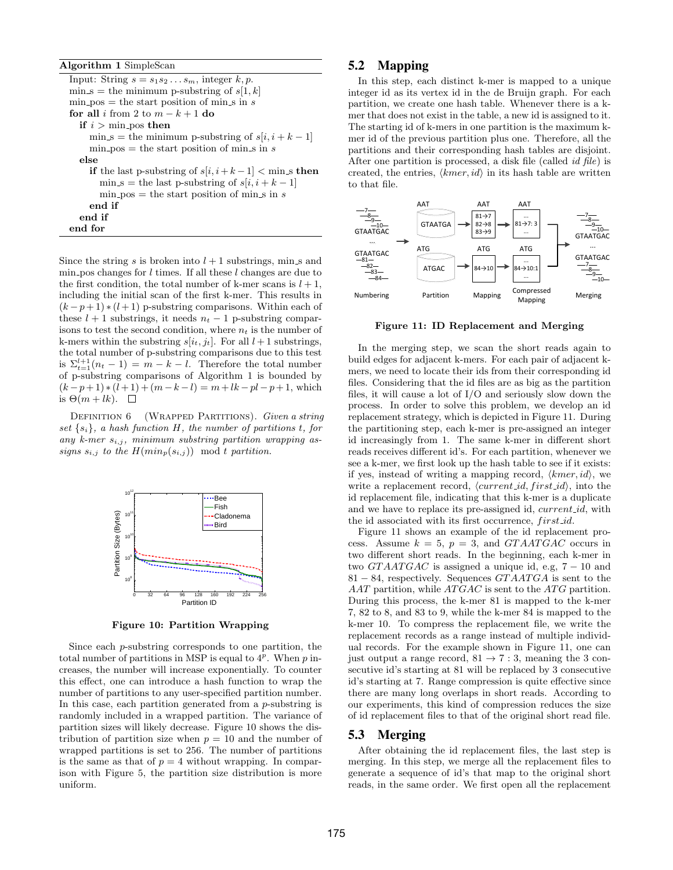**Algorithm 1** SimpleScan

Input: String  $s = s_1 s_2 \ldots s_m$ , integer  $k, p$ .  $\min s =$  the minimum p-substring of  $s[1, k]$  $min_p cos = the start position of  $min_s sin s$$ **for all** *i* from 2 to  $m - k + 1$  **do if**  $i > \min$ -pos **then**  $\min s =$  the minimum p-substring of  $s[i, i + k - 1]$  $min_p cos = the start position of  $min_s sin s$$ **else if** the last p-substring of  $s[i, i+k-1] < \text{min\_s}$  then  $\min_{s} s = \text{the last p-substring of } s[i, i+k-1]$  $min_p cos = the start position of  $min_s sin s$$ **end if end if end for**

Since the string *s* is broken into  $l + 1$  substrings, min s and min pos changes for *l* times. If all these *l* changes are due to the first condition, the total number of k-mer scans is  $l + 1$ , including the initial scan of the first k-mer. This results in  $(k-p+1) * (l+1)$  p-substring comparisons. Within each of these  $l + 1$  substrings, it needs  $n_t - 1$  p-substring comparisons to test the second condition, where  $n_t$  is the number of k-mers within the substring  $s[i_t, j_t]$ . For all  $l+1$  substrings, the total number of p-substring comparisons due to this test is  $\Sigma_{t=1}^{l+1}(n_t-1) = m - k - l$ . Therefore the total number of p-substring comparisons of Algorithm 1 is bounded by  $(k-p+1)*(l+1)+(m-k-l)=m+lk-pl-p+1$ , which is  $\Theta(m+lk)$ .  $\square$ 

Definition 6 (Wrapped Partitions). *Given a string set*  $\{s_i\}$ *, a hash function H, the number of partitions <i>t, for any k-mer si,j , minimum substring partition wrapping assigns*  $s_{i,j}$  *to the*  $H(min_p(s_{i,j}))$  mod *t* partition.



**Figure 10: Partition Wrapping**

Since each *p*-substring corresponds to one partition, the total number of partitions in MSP is equal to  $4^p$ . When  $p$  increases, the number will increase exponentially. To counter this effect, one can introduce a hash function to wrap the number of partitions to any user-specified partition number. In this case, each partition generated from a *p*-substring is randomly included in a wrapped partition. The variance of partition sizes will likely decrease. Figure 10 shows the distribution of partition size when  $p = 10$  and the number of wrapped partitions is set to 256. The number of partitions is the same as that of  $p = 4$  without wrapping. In comparison with Figure 5, the partition size distribution is more uniform.

## 5.2 Mapping

In this step, each distinct k-mer is mapped to a unique integer id as its vertex id in the de Bruijn graph. For each partition, we create one hash table. Whenever there is a kmer that does not exist in the table, a new id is assigned to it. The starting id of k-mers in one partition is the maximum kmer id of the previous partition plus one. Therefore, all the partitions and their corresponding hash tables are disjoint. After one partition is processed, a disk file (called *id file*) is created, the entries, *⟨kmer, id⟩* in its hash table are written to that file.



**Figure 11: ID Replacement and Merging**

In the merging step, we scan the short reads again to build edges for adjacent k-mers. For each pair of adjacent kmers, we need to locate their ids from their corresponding id files. Considering that the id files are as big as the partition files, it will cause a lot of I/O and seriously slow down the process. In order to solve this problem, we develop an id replacement strategy, which is depicted in Figure 11. During the partitioning step, each k-mer is pre-assigned an integer id increasingly from 1. The same k-mer in different short reads receives different id's. For each partition, whenever we see a k-mer, we first look up the hash table to see if it exists: if yes, instead of writing a mapping record, *⟨kmer, id⟩*, we write a replacement record,  $\langle current\_id, first\_id \rangle$ , into the id replacement file, indicating that this k-mer is a duplicate and we have to replace its pre-assigned id, *current id*, with the id associated with its first occurrence, *f irst id*.

Figure 11 shows an example of the id replacement process. Assume  $k = 5$ ,  $p = 3$ , and *GTAATGAC* occurs in two different short reads. In the beginning, each k-mer in two *GTAATGAC* is assigned a unique id, e.g, 7 − 10 and 81 *−* 84, respectively. Sequences *GT AAT GA* is sent to the AAT partition, while *ATGAC* is sent to the *ATG* partition. During this process, the k-mer 81 is mapped to the k-mer 7, 82 to 8, and 83 to 9, while the k-mer 84 is mapped to the k-mer 10. To compress the replacement file, we write the replacement records as a range instead of multiple individual records. For the example shown in Figure 11, one can just output a range record,  $81 \rightarrow 7 : 3$ , meaning the 3 consecutive id's starting at 81 will be replaced by 3 consecutive id's starting at 7. Range compression is quite effective since there are many long overlaps in short reads. According to our experiments, this kind of compression reduces the size of id replacement files to that of the original short read file.

#### 5.3 Merging

After obtaining the id replacement files, the last step is merging. In this step, we merge all the replacement files to generate a sequence of id's that map to the original short reads, in the same order. We first open all the replacement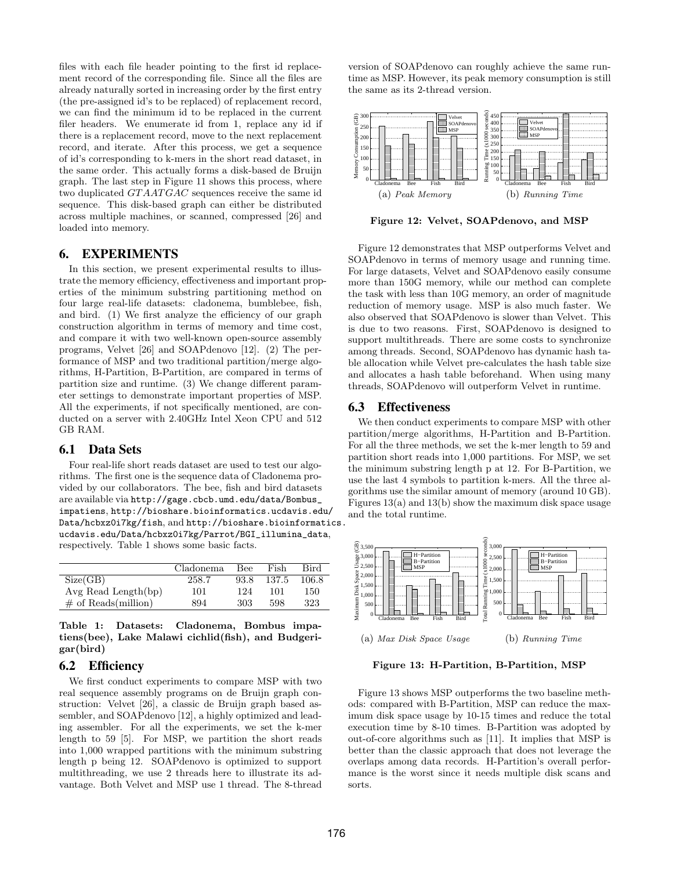files with each file header pointing to the first id replacement record of the corresponding file. Since all the files are already naturally sorted in increasing order by the first entry (the pre-assigned id's to be replaced) of replacement record, we can find the minimum id to be replaced in the current filer headers. We enumerate id from 1, replace any id if there is a replacement record, move to the next replacement record, and iterate. After this process, we get a sequence of id's corresponding to k-mers in the short read dataset, in the same order. This actually forms a disk-based de Bruijn graph. The last step in Figure 11 shows this process, where two duplicated *GTAATGAC* sequences receive the same id sequence. This disk-based graph can either be distributed across multiple machines, or scanned, compressed [26] and loaded into memory.

## 6. EXPERIMENTS

In this section, we present experimental results to illustrate the memory efficiency, effectiveness and important properties of the minimum substring partitioning method on four large real-life datasets: cladonema, bumblebee, fish, and bird. (1) We first analyze the efficiency of our graph construction algorithm in terms of memory and time cost, and compare it with two well-known open-source assembly programs, Velvet [26] and SOAPdenovo [12]. (2) The performance of MSP and two traditional partition/merge algorithms, H-Partition, B-Partition, are compared in terms of partition size and runtime. (3) We change different parameter settings to demonstrate important properties of MSP. All the experiments, if not specifically mentioned, are conducted on a server with 2.40GHz Intel Xeon CPU and 512 GB RAM.

## 6.1 Data Sets

Four real-life short reads dataset are used to test our algorithms. The first one is the sequence data of Cladonema provided by our collaborators. The bee, fish and bird datasets are available via http://gage.cbcb.umd.edu/data/Bombus\_ impatiens, http://bioshare.bioinformatics.ucdavis.edu/ Data/hcbxz0i7kg/fish, and http://bioshare.bioinformatics. ucdavis.edu/Data/hcbxz0i7kg/Parrot/BGI\_illumina\_data, respectively. Table 1 shows some basic facts.

|                          | Cladonema | Bee  | Fish  | Bird  |
|--------------------------|-----------|------|-------|-------|
| Size(GB)                 | 258.7     | 93.8 | 137.5 | 106.8 |
| $Avg$ Read Length $(bp)$ | 101       | 124  | 101   | 150   |
| $\#$ of Reads(million)   | 894       | 303  | 598   | 323   |

**Table 1: Datasets: Cladonema, Bombus impatiens(bee), Lake Malawi cichlid(fish), and Budgerigar(bird)**

#### 6.2 Efficiency

We first conduct experiments to compare MSP with two real sequence assembly programs on de Bruijn graph construction: Velvet [26], a classic de Bruijn graph based assembler, and SOAPdenovo [12], a highly optimized and leading assembler. For all the experiments, we set the k-mer length to 59 [5]. For MSP, we partition the short reads into 1,000 wrapped partitions with the minimum substring length p being 12. SOAPdenovo is optimized to support multithreading, we use 2 threads here to illustrate its advantage. Both Velvet and MSP use 1 thread. The 8-thread version of SOAPdenovo can roughly achieve the same runtime as MSP. However, its peak memory consumption is still the same as its 2-thread version.



**Figure 12: Velvet, SOAPdenovo, and MSP**

Figure 12 demonstrates that MSP outperforms Velvet and SOAPdenovo in terms of memory usage and running time. For large datasets, Velvet and SOAPdenovo easily consume more than 150G memory, while our method can complete the task with less than 10G memory, an order of magnitude reduction of memory usage. MSP is also much faster. We also observed that SOAPdenovo is slower than Velvet. This is due to two reasons. First, SOAPdenovo is designed to support multithreads. There are some costs to synchronize among threads. Second, SOAPdenovo has dynamic hash table allocation while Velvet pre-calculates the hash table size and allocates a hash table beforehand. When using many threads, SOAPdenovo will outperform Velvet in runtime.

#### 6.3 Effectiveness

We then conduct experiments to compare MSP with other partition/merge algorithms, H-Partition and B-Partition. For all the three methods, we set the k-mer length to 59 and partition short reads into 1,000 partitions. For MSP, we set the minimum substring length p at 12. For B-Partition, we use the last 4 symbols to partition k-mers. All the three algorithms use the similar amount of memory (around 10 GB). Figures  $13(a)$  and  $13(b)$  show the maximum disk space usage and the total runtime.



**Figure 13: H-Partition, B-Partition, MSP**

Figure 13 shows MSP outperforms the two baseline methods: compared with B-Partition, MSP can reduce the maximum disk space usage by 10-15 times and reduce the total execution time by 8-10 times. B-Partition was adopted by out-of-core algorithms such as [11]. It implies that MSP is better than the classic approach that does not leverage the overlaps among data records. H-Partition's overall performance is the worst since it needs multiple disk scans and sorts.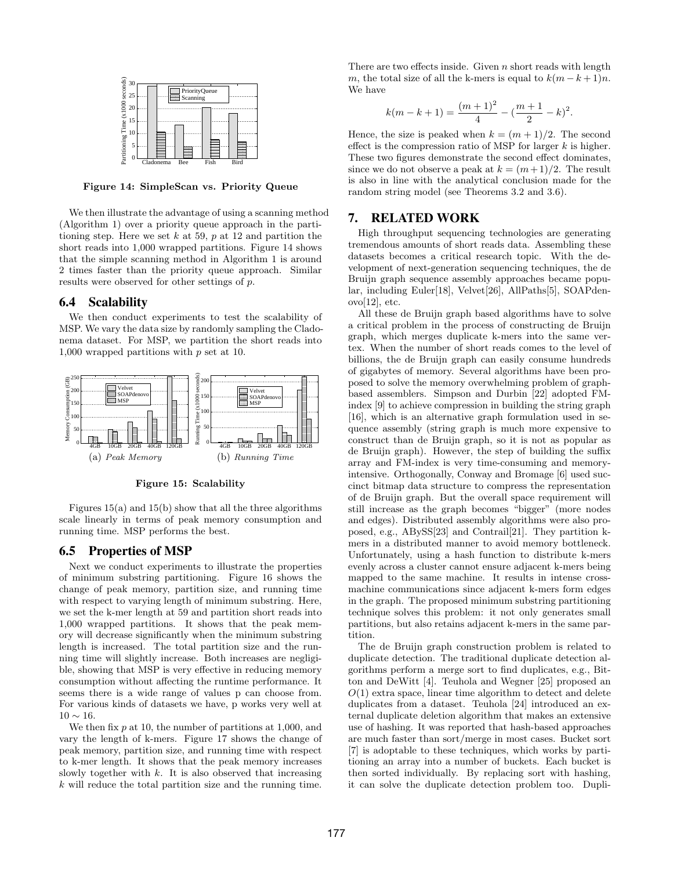

**Figure 14: SimpleScan vs. Priority Queue**

We then illustrate the advantage of using a scanning method (Algorithm 1) over a priority queue approach in the partitioning step. Here we set *k* at 59, *p* at 12 and partition the short reads into 1,000 wrapped partitions. Figure 14 shows that the simple scanning method in Algorithm 1 is around 2 times faster than the priority queue approach. Similar results were observed for other settings of *p*.

## 6.4 Scalability

We then conduct experiments to test the scalability of MSP. We vary the data size by randomly sampling the Cladonema dataset. For MSP, we partition the short reads into 1,000 wrapped partitions with *p* set at 10.



**Figure 15: Scalability**

Figures  $15(a)$  and  $15(b)$  show that all the three algorithms scale linearly in terms of peak memory consumption and running time. MSP performs the best.

## 6.5 Properties of MSP

Next we conduct experiments to illustrate the properties of minimum substring partitioning. Figure 16 shows the change of peak memory, partition size, and running time with respect to varying length of minimum substring. Here, we set the k-mer length at 59 and partition short reads into 1,000 wrapped partitions. It shows that the peak memory will decrease significantly when the minimum substring length is increased. The total partition size and the running time will slightly increase. Both increases are negligible, showing that MSP is very effective in reducing memory consumption without affecting the runtime performance. It seems there is a wide range of values p can choose from. For various kinds of datasets we have, p works very well at 10 *∼* 16.

We then fix  $p$  at 10, the number of partitions at 1,000, and vary the length of k-mers. Figure 17 shows the change of peak memory, partition size, and running time with respect to k-mer length. It shows that the peak memory increases slowly together with  $k$ . It is also observed that increasing *k* will reduce the total partition size and the running time.

There are two effects inside. Given *n* short reads with length *m*, the total size of all the k-mers is equal to  $k(m-k+1)n$ . We have

$$
k(m-k+1) = \frac{(m+1)^2}{4} - (\frac{m+1}{2} - k)^2.
$$

Hence, the size is peaked when  $k = (m+1)/2$ . The second effect is the compression ratio of MSP for larger *k* is higher. These two figures demonstrate the second effect dominates, since we do not observe a peak at  $k = (m+1)/2$ . The result is also in line with the analytical conclusion made for the random string model (see Theorems 3.2 and 3.6).

## 7. RELATED WORK

High throughput sequencing technologies are generating tremendous amounts of short reads data. Assembling these datasets becomes a critical research topic. With the development of next-generation sequencing techniques, the de Bruijn graph sequence assembly approaches became popular, including Euler[18], Velvet[26], AllPaths[5], SOAPden $ovo[12]$ , etc.

All these de Bruijn graph based algorithms have to solve a critical problem in the process of constructing de Bruijn graph, which merges duplicate k-mers into the same vertex. When the number of short reads comes to the level of billions, the de Bruijn graph can easily consume hundreds of gigabytes of memory. Several algorithms have been proposed to solve the memory overwhelming problem of graphbased assemblers. Simpson and Durbin [22] adopted FMindex [9] to achieve compression in building the string graph [16], which is an alternative graph formulation used in sequence assembly (string graph is much more expensive to construct than de Bruijn graph, so it is not as popular as de Bruijn graph). However, the step of building the suffix array and FM-index is very time-consuming and memoryintensive. Orthogonally, Conway and Bromage [6] used succinct bitmap data structure to compress the representation of de Bruijn graph. But the overall space requirement will still increase as the graph becomes "bigger" (more nodes and edges). Distributed assembly algorithms were also proposed, e.g., ABySS[23] and Contrail[21]. They partition kmers in a distributed manner to avoid memory bottleneck. Unfortunately, using a hash function to distribute k-mers evenly across a cluster cannot ensure adjacent k-mers being mapped to the same machine. It results in intense crossmachine communications since adjacent k-mers form edges in the graph. The proposed minimum substring partitioning technique solves this problem: it not only generates small partitions, but also retains adjacent k-mers in the same partition.

The de Bruijn graph construction problem is related to duplicate detection. The traditional duplicate detection algorithms perform a merge sort to find duplicates, e.g., Bitton and DeWitt [4]. Teuhola and Wegner [25] proposed an *O*(1) extra space, linear time algorithm to detect and delete duplicates from a dataset. Teuhola [24] introduced an external duplicate deletion algorithm that makes an extensive use of hashing. It was reported that hash-based approaches are much faster than sort/merge in most cases. Bucket sort [7] is adoptable to these techniques, which works by partitioning an array into a number of buckets. Each bucket is then sorted individually. By replacing sort with hashing, it can solve the duplicate detection problem too. Dupli-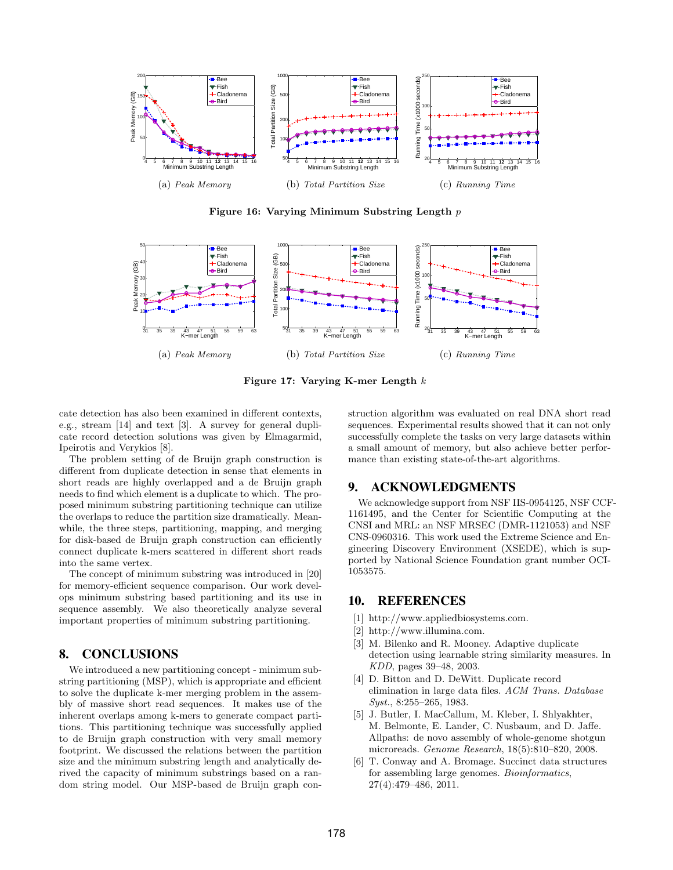

**Figure 16: Varying Minimum Substring Length** *p*



**Figure 17: Varying K-mer Length** *k*

cate detection has also been examined in different contexts, e.g., stream [14] and text [3]. A survey for general duplicate record detection solutions was given by Elmagarmid, Ipeirotis and Verykios [8].

The problem setting of de Bruijn graph construction is different from duplicate detection in sense that elements in short reads are highly overlapped and a de Bruijn graph needs to find which element is a duplicate to which. The proposed minimum substring partitioning technique can utilize the overlaps to reduce the partition size dramatically. Meanwhile, the three steps, partitioning, mapping, and merging for disk-based de Bruijn graph construction can efficiently connect duplicate k-mers scattered in different short reads into the same vertex.

The concept of minimum substring was introduced in [20] for memory-efficient sequence comparison. Our work develops minimum substring based partitioning and its use in sequence assembly. We also theoretically analyze several important properties of minimum substring partitioning.

## 8. CONCLUSIONS

We introduced a new partitioning concept - minimum substring partitioning (MSP), which is appropriate and efficient to solve the duplicate k-mer merging problem in the assembly of massive short read sequences. It makes use of the inherent overlaps among k-mers to generate compact partitions. This partitioning technique was successfully applied to de Bruijn graph construction with very small memory footprint. We discussed the relations between the partition size and the minimum substring length and analytically derived the capacity of minimum substrings based on a random string model. Our MSP-based de Bruijn graph construction algorithm was evaluated on real DNA short read sequences. Experimental results showed that it can not only successfully complete the tasks on very large datasets within a small amount of memory, but also achieve better performance than existing state-of-the-art algorithms.

#### 9. ACKNOWLEDGMENTS

We acknowledge support from NSF IIS-0954125, NSF CCF-1161495, and the Center for Scientific Computing at the CNSI and MRL: an NSF MRSEC (DMR-1121053) and NSF CNS-0960316. This work used the Extreme Science and Engineering Discovery Environment (XSEDE), which is supported by National Science Foundation grant number OCI-1053575.

## 10. REFERENCES

- [1] http://www.appliedbiosystems.com.
- [2] http://www.illumina.com.
- [3] M. Bilenko and R. Mooney. Adaptive duplicate detection using learnable string similarity measures. In *KDD*, pages 39–48, 2003.
- [4] D. Bitton and D. DeWitt. Duplicate record elimination in large data files. *ACM Trans. Database Syst.*, 8:255–265, 1983.
- [5] J. Butler, I. MacCallum, M. Kleber, I. Shlyakhter, M. Belmonte, E. Lander, C. Nusbaum, and D. Jaffe. Allpaths: de novo assembly of whole-genome shotgun microreads. *Genome Research*, 18(5):810–820, 2008.
- [6] T. Conway and A. Bromage. Succinct data structures for assembling large genomes. *Bioinformatics*, 27(4):479–486, 2011.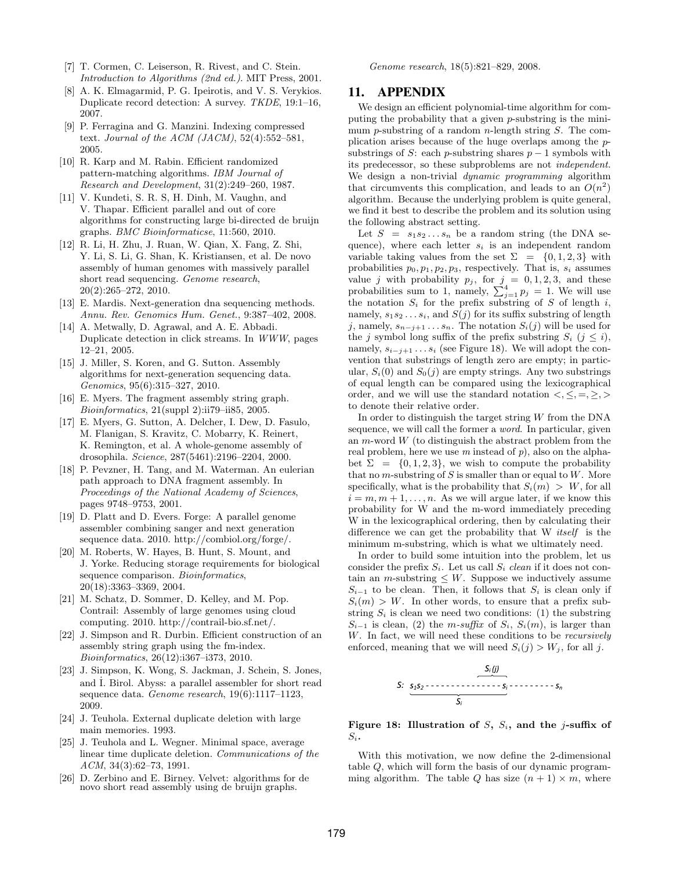- [7] T. Cormen, C. Leiserson, R. Rivest, and C. Stein. *Introduction to Algorithms (2nd ed.)*. MIT Press, 2001.
- [8] A. K. Elmagarmid, P. G. Ipeirotis, and V. S. Verykios. Duplicate record detection: A survey. *TKDE*, 19:1–16, 2007.
- [9] P. Ferragina and G. Manzini. Indexing compressed text. *Journal of the ACM (JACM)*, 52(4):552–581, 2005.
- [10] R. Karp and M. Rabin. Efficient randomized pattern-matching algorithms. *IBM Journal of Research and Development*, 31(2):249–260, 1987.
- [11] V. Kundeti, S. R. S, H. Dinh, M. Vaughn, and V. Thapar. Efficient parallel and out of core algorithms for constructing large bi-directed de bruijn graphs. *BMC Bioinformaticse*, 11:560, 2010.
- [12] R. Li, H. Zhu, J. Ruan, W. Qian, X. Fang, Z. Shi, Y. Li, S. Li, G. Shan, K. Kristiansen, et al. De novo assembly of human genomes with massively parallel short read sequencing. *Genome research*, 20(2):265–272, 2010.
- [13] E. Mardis. Next-generation dna sequencing methods. *Annu. Rev. Genomics Hum. Genet.*, 9:387–402, 2008.
- [14] A. Metwally, D. Agrawal, and A. E. Abbadi. Duplicate detection in click streams. In *WWW*, pages 12–21, 2005.
- [15] J. Miller, S. Koren, and G. Sutton. Assembly algorithms for next-generation sequencing data. *Genomics*, 95(6):315–327, 2010.
- [16] E. Myers. The fragment assembly string graph. *Bioinformatics*, 21(suppl 2):ii79–ii85, 2005.
- [17] E. Myers, G. Sutton, A. Delcher, I. Dew, D. Fasulo, M. Flanigan, S. Kravitz, C. Mobarry, K. Reinert, K. Remington, et al. A whole-genome assembly of drosophila. *Science*, 287(5461):2196–2204, 2000.
- [18] P. Pevzner, H. Tang, and M. Waterman. An eulerian path approach to DNA fragment assembly. In *Proceedings of the National Academy of Sciences*, pages 9748–9753, 2001.
- [19] D. Platt and D. Evers. Forge: A parallel genome assembler combining sanger and next generation sequence data. 2010. http://combiol.org/forge/.
- [20] M. Roberts, W. Hayes, B. Hunt, S. Mount, and J. Yorke. Reducing storage requirements for biological sequence comparison. *Bioinformatics*, 20(18):3363–3369, 2004.
- [21] M. Schatz, D. Sommer, D. Kelley, and M. Pop. Contrail: Assembly of large genomes using cloud computing. 2010. http://contrail-bio.sf.net/.
- [22] J. Simpson and R. Durbin. Efficient construction of an assembly string graph using the fm-index. *Bioinformatics*, 26(12):i367–i373, 2010.
- [23] J. Simpson, K. Wong, S. Jackman, J. Schein, S. Jones, and  $\dot{\text{I}}$ . Birol. Abyss: a parallel assembler for short read sequence data. *Genome research*, 19(6):1117–1123, 2009.
- [24] J. Teuhola. External duplicate deletion with large main memories. 1993.
- [25] J. Teuhola and L. Wegner. Minimal space, average linear time duplicate deletion. *Communications of the ACM*, 34(3):62–73, 1991.
- [26] D. Zerbino and E. Birney. Velvet: algorithms for de novo short read assembly using de bruijn graphs.

*Genome research*, 18(5):821–829, 2008.

#### 11. APPENDIX

We design an efficient polynomial-time algorithm for computing the probability that a given *p*-substring is the minimum *p*-substring of a random *n*-length string *S*. The complication arises because of the huge overlaps among the *p*substrings of *S*: each *p*-substring shares  $p-1$  symbols with its predecessor, so these subproblems are not *independent*. We design a non-trivial *dynamic programming* algorithm that circumvents this complication, and leads to an  $O(n^2)$ algorithm. Because the underlying problem is quite general, we find it best to describe the problem and its solution using the following abstract setting.

Let  $S = s_1 s_2 \dots s_n$  be a random string (the DNA sequence), where each letter *s<sup>i</sup>* is an independent random variable taking values from the set  $\Sigma = \{0, 1, 2, 3\}$  with probabilities  $p_0, p_1, p_2, p_3$ , respectively. That is,  $s_i$  assumes value *j* with probability  $p_j$ , for  $j = 0, 1, 2, 3$ , and these probabilities sum to 1, namely,  $\sum_{j=1}^{4} p_j = 1$ . We will use the notation  $S_i$  for the prefix substring of  $S$  of length  $i$ , namely,  $s_1 s_2 \ldots s_i$ , and  $S(j)$  for its suffix substring of length *j*, namely,  $s_{n-j+1}$  *. . .*  $s_n$ . The notation  $S_i(j)$  will be used for the *j* symbol long suffix of the prefix substring  $S_i$  ( $j \leq i$ ), namely,  $s_{i-j+1}$ ...s<sub>*i*</sub> (see Figure 18). We will adopt the convention that substrings of length zero are empty; in particular,  $S_i(0)$  and  $S_0(i)$  are empty strings. Any two substrings of equal length can be compared using the lexicographical order, and we will use the standard notation  $\langle \xi, \xi, \xi, \xi \rangle$ to denote their relative order.

In order to distinguish the target string *W* from the DNA sequence, we will call the former a *word*. In particular, given an *m*-word *W* (to distinguish the abstract problem from the real problem, here we use *m* instead of *p*), also on the alphabet  $\Sigma = \{0, 1, 2, 3\}$ , we wish to compute the probability that no *m*-substring of *S* is smaller than or equal to *W*. More specifically, what is the probability that  $S_i(m) > W$ , for all  $i = m, m + 1, \ldots, n$ . As we will argue later, if we know this probability for W and the m-word immediately preceding W in the lexicographical ordering, then by calculating their difference we can get the probability that W *itself* is the minimum m-substring, which is what we ultimately need.

In order to build some intuition into the problem, let us consider the prefix  $S_i$ . Let us call  $S_i$  *clean* if it does not contain an *m*-substring  $\leq$  *W*. Suppose we inductively assume  $S_{i-1}$  to be clean. Then, it follows that  $S_i$  is clean only if  $S_i(m) > W$ . In other words, to ensure that a prefix substring  $S_i$  is clean we need two conditions: (1) the substring  $S_{i-1}$  is clean, (2) the *m-suffix* of  $S_i$ ,  $S_i(m)$ , is larger than *W*. In fact, we will need these conditions to be *recursively* enforced, meaning that we will need  $S_i(j) > W_j$ , for all *j*.



#### **Figure 18: Illustration of** *S***,** *Si***, and the** *j***-suffix of** *Si***.**

With this motivation, we now define the 2-dimensional table *Q*, which will form the basis of our dynamic programming algorithm. The table *Q* has size  $(n + 1) \times m$ , where